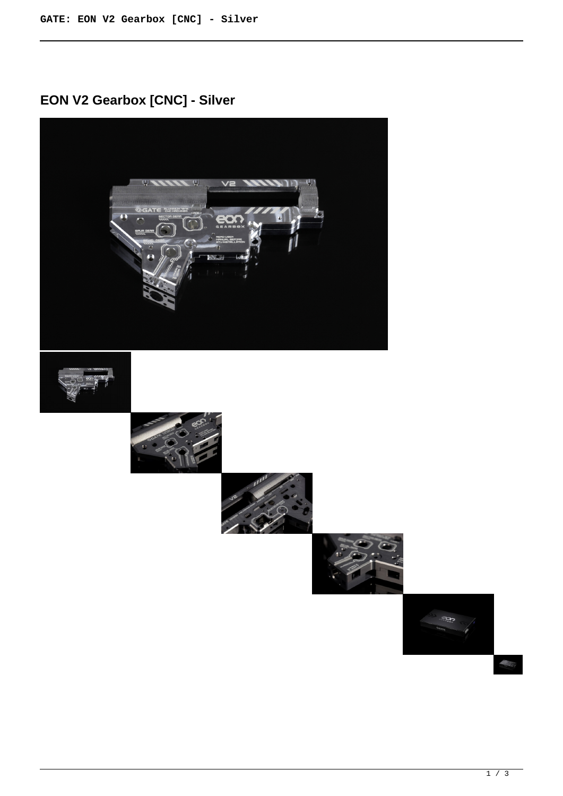## **EON V2 Gearbox [CNC] - Silver**



 $\triangle$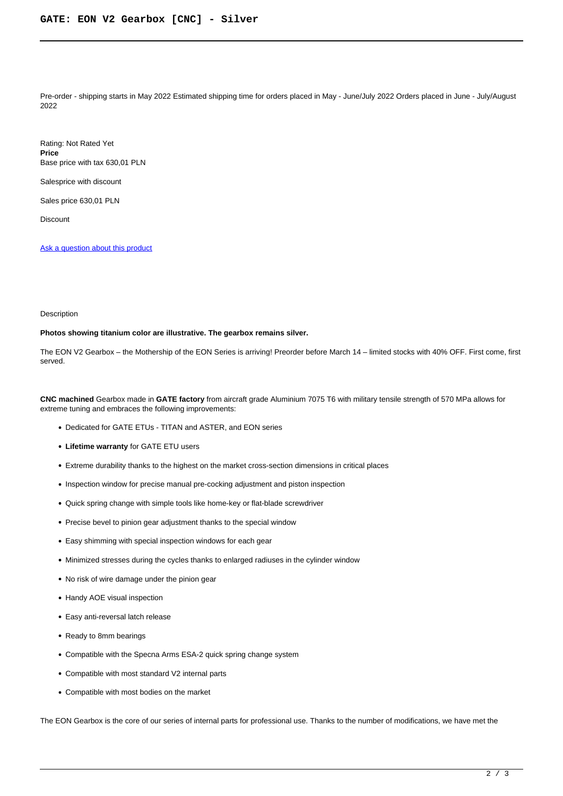Pre-order - shipping starts in May 2022 Estimated shipping time for orders placed in May - June/July 2022 Orders placed in June - July/August 2022

Rating: Not Rated Yet **Price**  Base price with tax 630,01 PLN

Salesprice with discount

Sales price 630,01 PLN

Discount

[Ask a question about this product](https://gatee.eu/index.php?option=com_virtuemart&view=productdetails&task=askquestion&virtuemart_product_id=96&virtuemart_category_id=1&tmpl=component)

## Description

## **Photos showing titanium color are illustrative. The gearbox remains silver.**

The EON V2 Gearbox – the Mothership of the EON Series is arriving! Preorder before March 14 – limited stocks with 40% OFF. First come, first served.

**CNC machined** Gearbox made in **GATE factory** from aircraft grade Aluminium 7075 T6 with military tensile strength of 570 MPa allows for extreme tuning and embraces the following improvements:

- Dedicated for GATE ETUs TITAN and ASTER, and EON series
- **Lifetime warranty** for GATE ETU users
- Extreme durability thanks to the highest on the market cross-section dimensions in critical places
- Inspection window for precise manual pre-cocking adjustment and piston inspection
- Quick spring change with simple tools like home-key or flat-blade screwdriver
- Precise bevel to pinion gear adjustment thanks to the special window
- Easy shimming with special inspection windows for each gear
- Minimized stresses during the cycles thanks to enlarged radiuses in the cylinder window
- No risk of wire damage under the pinion gear
- Handy AOE visual inspection
- Easy anti-reversal latch release
- Ready to 8mm bearings
- Compatible with the Specna Arms ESA-2 quick spring change system
- Compatible with most standard V2 internal parts
- Compatible with most bodies on the market

The EON Gearbox is the core of our series of internal parts for professional use. Thanks to the number of modifications, we have met the